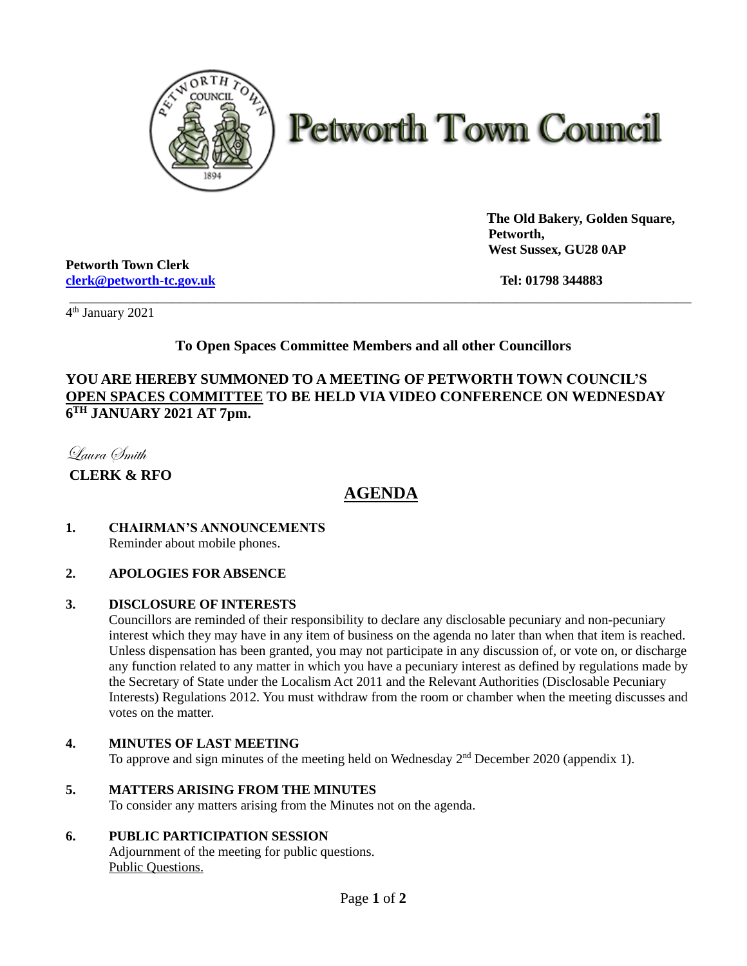

# **Petworth Town Council**

 **The Old Bakery, Golden Square, Petworth, West Sussex, GU28 0AP**

\_\_\_\_\_\_\_\_\_\_\_\_\_\_\_\_\_\_\_\_\_\_\_\_\_\_\_\_\_\_\_\_\_\_\_\_\_\_\_\_\_\_\_\_\_\_\_\_\_\_\_\_\_\_\_\_\_\_\_\_\_\_\_\_\_\_\_\_\_\_\_\_\_\_\_\_\_\_\_\_\_\_\_\_\_ \_\_\_\_\_\_\_\_\_\_\_\_\_\_\_\_\_\_\_\_\_\_\_\_\_\_\_\_\_\_\_\_\_\_\_\_\_\_\_\_\_\_\_\_\_\_\_\_\_\_\_\_\_\_\_\_\_\_\_\_\_\_\_\_\_\_\_\_\_\_\_\_\_\_\_\_\_\_\_\_\_\_\_\_

**Petworth Town Clerk [clerk@petworth-tc.gov.uk](mailto:clerk@petworth-tc.gov.uk) Tel: 01798 344883**

4 th January 2021

### **To Open Spaces Committee Members and all other Councillors**

#### **YOU ARE HEREBY SUMMONED TO A MEETING OF PETWORTH TOWN COUNCIL'S OPEN SPACES COMMITTEE TO BE HELD VIA VIDEO CONFERENCE ON WEDNESDAY 6 TH JANUARY 2021 AT 7pm.**

Laura Smith

**CLERK & RFO**

## **AGENDA**

#### **1. CHAIRMAN'S ANNOUNCEMENTS** Reminder about mobile phones.

#### **2. APOLOGIES FOR ABSENCE**

#### **3. DISCLOSURE OF INTERESTS**

Councillors are reminded of their responsibility to declare any disclosable pecuniary and non-pecuniary interest which they may have in any item of business on the agenda no later than when that item is reached. Unless dispensation has been granted, you may not participate in any discussion of, or vote on, or discharge any function related to any matter in which you have a pecuniary interest as defined by regulations made by the Secretary of State under the Localism Act 2011 and the Relevant Authorities (Disclosable Pecuniary Interests) Regulations 2012. You must withdraw from the room or chamber when the meeting discusses and votes on the matter.

#### **4. MINUTES OF LAST MEETING**

To approve and sign minutes of the meeting held on Wednesday  $2<sup>nd</sup>$  December 2020 (appendix 1).

#### **5. MATTERS ARISING FROM THE MINUTES**

To consider any matters arising from the Minutes not on the agenda.

#### **6. PUBLIC PARTICIPATION SESSION**

Adjournment of the meeting for public questions. Public Questions.